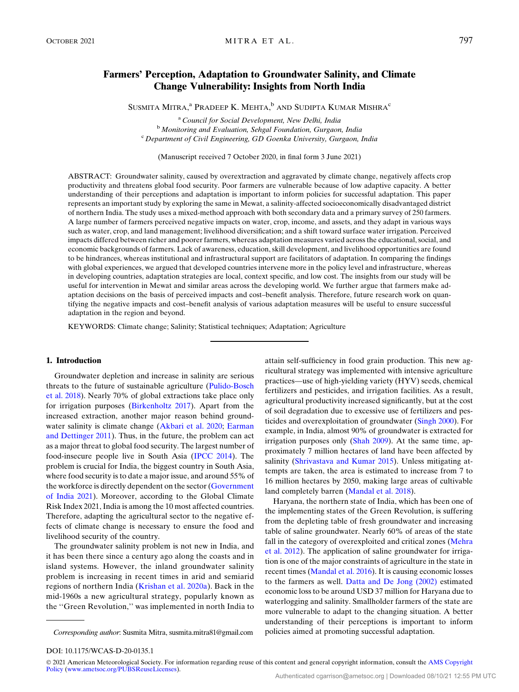# Farmers' Perception, Adaptation to Groundwater Salinity, and Climate Change Vulnerability: Insights from North India

SUSMITA MITRA, $^{\rm a}$  Pradeep K. Mehta, $^{\rm b}$  and Sudipta Kumar Mishra $^{\rm c}$ 

<sup>a</sup> Council for Social Development, New Delhi, India  $\overline{b}$  Monitoring and Evaluation, Sehgal Foundation, Gurgaon, India  $\overline{c}$  Department of Civil Engineering, GD Goenka University, Gurgaon, India

(Manuscript received 7 October 2020, in final form 3 June 2021)

ABSTRACT: Groundwater salinity, caused by overextraction and aggravated by climate change, negatively affects crop productivity and threatens global food security. Poor farmers are vulnerable because of low adaptive capacity. A better understanding of their perceptions and adaptation is important to inform policies for successful adaptation. This paper represents an important study by exploring the same in Mewat, a salinity-affected socioeconomically disadvantaged district of northern India. The study uses a mixed-method approach with both secondary data and a primary survey of 250 farmers. A large number of farmers perceived negative impacts on water, crop, income, and assets, and they adapt in various ways such as water, crop, and land management; livelihood diversification; and a shift toward surface water irrigation. Perceived impacts differed between richer and poorer farmers, whereas adaptation measures varied across the educational, social, and economic backgrounds of farmers. Lack of awareness, education, skill development, and livelihood opportunities are found to be hindrances, whereas institutional and infrastructural support are facilitators of adaptation. In comparing the findings with global experiences, we argued that developed countries intervene more in the policy level and infrastructure, whereas in developing countries, adaptation strategies are local, context specific, and low cost. The insights from our study will be useful for intervention in Mewat and similar areas across the developing world. We further argue that farmers make adaptation decisions on the basis of perceived impacts and cost–benefit analysis. Therefore, future research work on quantifying the negative impacts and cost–benefit analysis of various adaptation measures will be useful to ensure successful adaptation in the region and beyond.

KEYWORDS: Climate change; Salinity; Statistical techniques; Adaptation; Agriculture

# 1. Introduction

Groundwater depletion and increase in salinity are serious threats to the future of sustainable agriculture [\(Pulido-Bosch](#page-14-0) [et al. 2018](#page-14-0)). Nearly 70% of global extractions take place only for irrigation purposes ([Birkenholtz 2017](#page-12-0)). Apart from the increased extraction, another major reason behind groundwater salinity is climate change ([Akbari et al. 2020;](#page-12-1) [Earman](#page-13-0) [and Dettinger 2011\)](#page-13-0). Thus, in the future, the problem can act as a major threat to global food security. The largest number of food-insecure people live in South Asia ([IPCC 2014\)](#page-13-1). The problem is crucial for India, the biggest country in South Asia, where food security is to date a major issue, and around 55% of the workforce is directly dependent on the sector ([Government](#page-13-2) [of India 2021](#page-13-2)). Moreover, according to the Global Climate Risk Index 2021, India is among the 10 most affected countries. Therefore, adapting the agricultural sector to the negative effects of climate change is necessary to ensure the food and livelihood security of the country.

The groundwater salinity problem is not new in India, and it has been there since a century ago along the coasts and in island systems. However, the inland groundwater salinity problem is increasing in recent times in arid and semiarid regions of northern India [\(Krishan et al. 2020a](#page-13-3)). Back in the mid-1960s a new agricultural strategy, popularly known as the ''Green Revolution,'' was implemented in north India to

Corresponding author: Susmita Mitra, [susmita.mitra81@gmail.com](mailto:susmita.mitra81@gmail.com) policies aimed at promoting successful adaptation.

attain self-sufficiency in food grain production. This new agricultural strategy was implemented with intensive agriculture practices—use of high-yielding variety (HYV) seeds, chemical fertilizers and pesticides, and irrigation facilities. As a result, agricultural productivity increased significantly, but at the cost of soil degradation due to excessive use of fertilizers and pesticides and overexploitation of groundwater [\(Singh 2000\)](#page-14-1). For example, in India, almost 90% of groundwater is extracted for irrigation purposes only ([Shah 2009](#page-14-2)). At the same time, approximately 7 million hectares of land have been affected by salinity [\(Shrivastava and Kumar 2015](#page-14-3)). Unless mitigating attempts are taken, the area is estimated to increase from 7 to 16 million hectares by 2050, making large areas of cultivable land completely barren ([Mandal et al. 2018\)](#page-13-4).

Haryana, the northern state of India, which has been one of the implementing states of the Green Revolution, is suffering from the depleting table of fresh groundwater and increasing table of saline groundwater. Nearly 60% of areas of the state fall in the category of overexploited and critical zones [\(Mehra](#page-13-5) [et al. 2012\)](#page-13-5). The application of saline groundwater for irrigation is one of the major constraints of agriculture in the state in recent times [\(Mandal et al. 2016](#page-13-6)). It is causing economic losses to the farmers as well. [Datta and De Jong \(2002\)](#page-13-7) estimated economic loss to be around USD 37 million for Haryana due to waterlogging and salinity. Smallholder farmers of the state are more vulnerable to adapt to the changing situation. A better understanding of their perceptions is important to inform

DOI: 10.1175/WCAS-D-20-0135.1

<sup>© 2021</sup> American Meteorological Society. For information regarding reuse of this content and general copyright information, consult the [AMS Copyright](http://www.ametsoc.org/PUBSReuseLicenses) [Policy](http://www.ametsoc.org/PUBSReuseLicenses) ([www.ametsoc.org/PUBSReuseLicenses](http://www.ametsoc.org/PUBSReuseLicenses)).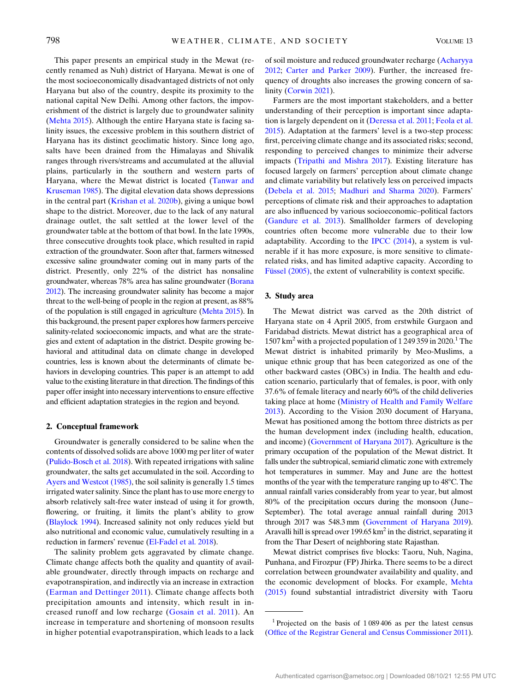This paper presents an empirical study in the Mewat (recently renamed as Nuh) district of Haryana. Mewat is one of the most socioeconomically disadvantaged districts of not only Haryana but also of the country, despite its proximity to the national capital New Delhi. Among other factors, the impoverishment of the district is largely due to groundwater salinity ([Mehta 2015](#page-13-8)). Although the entire Haryana state is facing salinity issues, the excessive problem in this southern district of Haryana has its distinct geoclimatic history. Since long ago, salts have been drained from the Himalayas and Shivalik ranges through rivers/streams and accumulated at the alluvial plains, particularly in the southern and western parts of Haryana, where the Mewat district is located ([Tanwar and](#page-14-4) [Kruseman 1985](#page-14-4)). The digital elevation data shows depressions in the central part [\(Krishan et al. 2020b](#page-13-9)), giving a unique bowl shape to the district. Moreover, due to the lack of any natural drainage outlet, the salt settled at the lower level of the groundwater table at the bottom of that bowl. In the late 1990s, three consecutive droughts took place, which resulted in rapid extraction of the groundwater. Soon after that, farmers witnessed excessive saline groundwater coming out in many parts of the district. Presently, only 22% of the district has nonsaline groundwater, whereas 78% area has saline groundwater [\(Borana](#page-13-10) [2012\)](#page-13-10). The increasing groundwater salinity has become a major threat to the well-being of people in the region at present, as 88% of the population is still engaged in agriculture ([Mehta 2015](#page-13-8)). In this background, the present paper explores how farmers perceive salinity-related socioeconomic impacts, and what are the strategies and extent of adaptation in the district. Despite growing behavioral and attitudinal data on climate change in developed countries, less is known about the determinants of climate behaviors in developing countries. This paper is an attempt to add value to the existing literature in that direction. The findings of this paper offer insight into necessary interventions to ensure effective and efficient adaptation strategies in the region and beyond.

#### 2. Conceptual framework

Groundwater is generally considered to be saline when the contents of dissolved solids are above 1000 mg per liter of water ([Pulido-Bosch et al. 2018\)](#page-14-0). With repeated irrigations with saline groundwater, the salts get accumulated in the soil. According to [Ayers and Westcot \(1985\),](#page-12-2) the soil salinity is generally 1.5 times irrigated water salinity. Since the plant has to use more energy to absorb relatively salt-free water instead of using it for growth, flowering, or fruiting, it limits the plant's ability to grow ([Blaylock 1994\)](#page-12-3). Increased salinity not only reduces yield but also nutritional and economic value, cumulatively resulting in a reduction in farmers' revenue ([El-Fadel et al. 2018\)](#page-13-11).

The salinity problem gets aggravated by climate change. Climate change affects both the quality and quantity of available groundwater, directly through impacts on recharge and evapotranspiration, and indirectly via an increase in extraction ([Earman and Dettinger 2011](#page-13-0)). Climate change affects both precipitation amounts and intensity, which result in increased runoff and low recharge ([Gosain et al. 2011\)](#page-13-12). An increase in temperature and shortening of monsoon results in higher potential evapotranspiration, which leads to a lack of soil moisture and reduced groundwater recharge ([Acharyya](#page-12-4) [2012](#page-12-4); [Carter and Parker 2009\)](#page-13-13). Further, the increased frequency of droughts also increases the growing concern of salinity ([Corwin 2021](#page-13-14)).

Farmers are the most important stakeholders, and a better understanding of their perception is important since adaptation is largely dependent on it ([Deressa et al. 2011;](#page-13-15) [Feola et al.](#page-13-16) [2015](#page-13-16)). Adaptation at the farmers' level is a two-step process: first, perceiving climate change and its associated risks; second, responding to perceived changes to minimize their adverse impacts ([Tripathi and Mishra 2017\)](#page-14-5). Existing literature has focused largely on farmers' perception about climate change and climate variability but relatively less on perceived impacts ([Debela et al. 2015;](#page-13-17) [Madhuri and Sharma 2020](#page-13-18)). Farmers' perceptions of climate risk and their approaches to adaptation are also influenced by various socioeconomic–political factors ([Gandure et al. 2013](#page-13-19)). Smallholder farmers of developing countries often become more vulnerable due to their low adaptability. According to the [IPCC \(2014\)](#page-13-1), a system is vulnerable if it has more exposure, is more sensitive to climaterelated risks, and has limited adaptive capacity. According to Fü[ssel \(2005\)](#page-13-20), the extent of vulnerability is context specific.

#### 3. Study area

The Mewat district was carved as the 20th district of Haryana state on 4 April 2005, from erstwhile Gurgaon and Faridabad districts. Mewat district has a geographical area of 1507 km<sup>2</sup> with a projected population of 1 249 359 in 2020.<sup>1</sup> The Mewat district is inhabited primarily by Meo-Muslims, a unique ethnic group that has been categorized as one of the other backward castes (OBCs) in India. The health and education scenario, particularly that of females, is poor, with only 37.6% of female literacy and nearly 60% of the child deliveries taking place at home [\(Ministry of Health and Family Welfare](#page-14-6) [2013](#page-14-6)). According to the Vision 2030 document of Haryana, Mewat has positioned among the bottom three districts as per the human development index (including health, education, and income) ([Government of Haryana 2017\)](#page-13-21). Agriculture is the primary occupation of the population of the Mewat district. It falls under the subtropical, semiarid climatic zone with extremely hot temperatures in summer. May and June are the hottest months of the year with the temperature ranging up to  $48^{\circ}$ C. The annual rainfall varies considerably from year to year, but almost 80% of the precipitation occurs during the monsoon (June– September). The total average annual rainfall during 2013 through 2017 was 548.3 mm ([Government of Haryana 2019](#page-13-22)). Aravalli hill is spread over 199.65  $km^2$  in the district, separating it from the Thar Desert of neighboring state Rajasthan.

Mewat district comprises five blocks: Taoru, Nuh, Nagina, Punhana, and Firozpur (FP) Jhirka. There seems to be a direct correlation between groundwater availability and quality, and the economic development of blocks. For example, [Mehta](#page-13-8) [\(2015\)](#page-13-8) found substantial intradistrict diversity with Taoru

<sup>&</sup>lt;sup>1</sup> Projected on the basis of  $1\,089\,406$  as per the latest census ([Office of the Registrar General and Census Commissioner 2011\)](#page-14-7).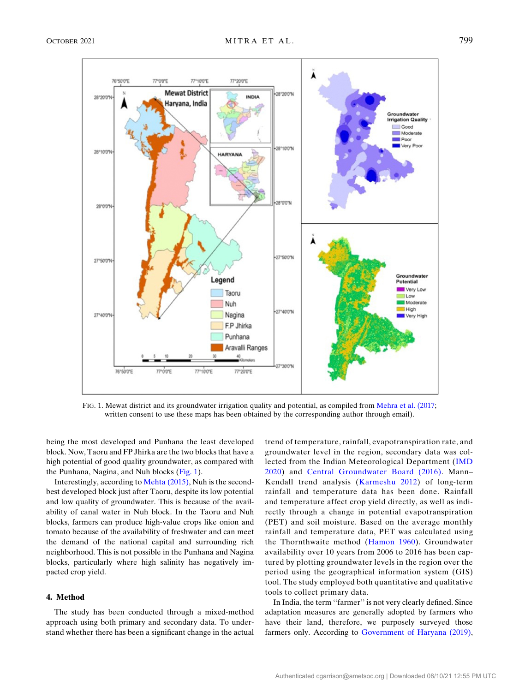<span id="page-2-0"></span>

FIG. 1. Mewat district and its groundwater irrigation quality and potential, as compiled from [Mehra et al. \(2017;](#page-13-27) written consent to use these maps has been obtained by the corresponding author through email).

being the most developed and Punhana the least developed block. Now, Taoru and FP Jhirka are the two blocks that have a high potential of good quality groundwater, as compared with the Punhana, Nagina, and Nuh blocks ([Fig. 1](#page-2-0)).

Interestingly, according to [Mehta \(2015\)](#page-13-8), Nuh is the secondbest developed block just after Taoru, despite its low potential and low quality of groundwater. This is because of the availability of canal water in Nuh block. In the Taoru and Nuh blocks, farmers can produce high-value crops like onion and tomato because of the availability of freshwater and can meet the demand of the national capital and surrounding rich neighborhood. This is not possible in the Punhana and Nagina blocks, particularly where high salinity has negatively impacted crop yield.

# 4. Method

The study has been conducted through a mixed-method approach using both primary and secondary data. To understand whether there has been a significant change in the actual trend of temperature, rainfall, evapotranspiration rate, and groundwater level in the region, secondary data was collected from the Indian Meteorological Department ([IMD](#page-13-23) [2020\)](#page-13-23) and [Central Groundwater Board \(2016\)](#page-13-24). Mann– Kendall trend analysis ([Karmeshu 2012\)](#page-13-25) of long-term rainfall and temperature data has been done. Rainfall and temperature affect crop yield directly, as well as indirectly through a change in potential evapotranspiration (PET) and soil moisture. Based on the average monthly rainfall and temperature data, PET was calculated using the Thornthwaite method ([Hamon 1960\)](#page-13-26). Groundwater availability over 10 years from 2006 to 2016 has been captured by plotting groundwater levels in the region over the period using the geographical information system (GIS) tool. The study employed both quantitative and qualitative tools to collect primary data.

In India, the term ''farmer'' is not very clearly defined. Since adaptation measures are generally adopted by farmers who have their land, therefore, we purposely surveyed those farmers only. According to [Government of Haryana \(2019\)](#page-13-22),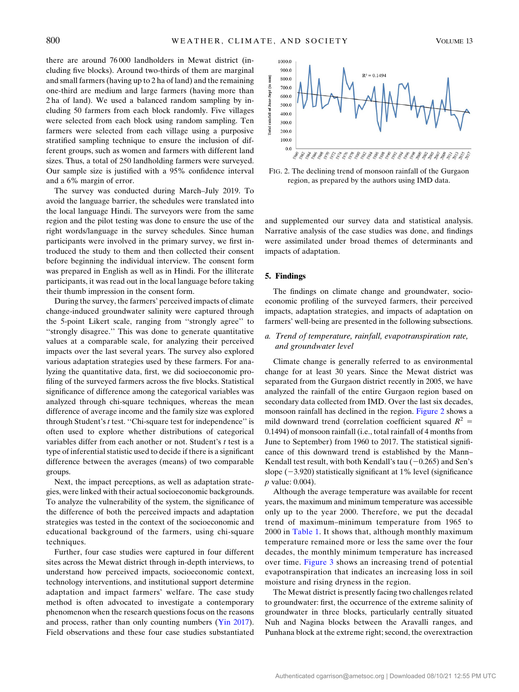there are around 76 000 landholders in Mewat district (including five blocks). Around two-thirds of them are marginal and small farmers (having up to 2 ha of land) and the remaining one-third are medium and large farmers (having more than 2 ha of land). We used a balanced random sampling by including 50 farmers from each block randomly. Five villages were selected from each block using random sampling. Ten farmers were selected from each village using a purposive stratified sampling technique to ensure the inclusion of different groups, such as women and farmers with different land sizes. Thus, a total of 250 landholding farmers were surveyed. Our sample size is justified with a 95% confidence interval and a 6% margin of error.

The survey was conducted during March–July 2019. To avoid the language barrier, the schedules were translated into the local language Hindi. The surveyors were from the same region and the pilot testing was done to ensure the use of the right words/language in the survey schedules. Since human participants were involved in the primary survey, we first introduced the study to them and then collected their consent before beginning the individual interview. The consent form was prepared in English as well as in Hindi. For the illiterate participants, it was read out in the local language before taking their thumb impression in the consent form.

During the survey, the farmers' perceived impacts of climate change-induced groundwater salinity were captured through the 5-point Likert scale, ranging from ''strongly agree'' to ''strongly disagree.'' This was done to generate quantitative values at a comparable scale, for analyzing their perceived impacts over the last several years. The survey also explored various adaptation strategies used by these farmers. For analyzing the quantitative data, first, we did socioeconomic profiling of the surveyed farmers across the five blocks. Statistical significance of difference among the categorical variables was analyzed through chi-square techniques, whereas the mean difference of average income and the family size was explored through Student's t test. ''Chi-square test for independence'' is often used to explore whether distributions of categorical variables differ from each another or not. Student's t test is a type of inferential statistic used to decide if there is a significant difference between the averages (means) of two comparable groups.

Next, the impact perceptions, as well as adaptation strategies, were linked with their actual socioeconomic backgrounds. To analyze the vulnerability of the system, the significance of the difference of both the perceived impacts and adaptation strategies was tested in the context of the socioeconomic and educational background of the farmers, using chi-square techniques.

Further, four case studies were captured in four different sites across the Mewat district through in-depth interviews, to understand how perceived impacts, socioeconomic context, technology interventions, and institutional support determine adaptation and impact farmers' welfare. The case study method is often advocated to investigate a contemporary phenomenon when the research questions focus on the reasons and process, rather than only counting numbers [\(Yin 2017](#page-14-8)). Field observations and these four case studies substantiated

<span id="page-3-0"></span>

FIG. 2. The declining trend of monsoon rainfall of the Gurgaon region, as prepared by the authors using IMD data.

and supplemented our survey data and statistical analysis. Narrative analysis of the case studies was done, and findings were assimilated under broad themes of determinants and impacts of adaptation.

#### 5. Findings

The findings on climate change and groundwater, socioeconomic profiling of the surveyed farmers, their perceived impacts, adaptation strategies, and impacts of adaptation on farmers' well-being are presented in the following subsections.

# a. Trend of temperature, rainfall, evapotranspiration rate, and groundwater level

Climate change is generally referred to as environmental change for at least 30 years. Since the Mewat district was separated from the Gurgaon district recently in 2005, we have analyzed the rainfall of the entire Gurgaon region based on secondary data collected from IMD. Over the last six decades, monsoon rainfall has declined in the region. [Figure 2](#page-3-0) shows a mild downward trend (correlation coefficient squared  $R^2 =$ 0.1494) of monsoon rainfall (i.e., total rainfall of 4 months from June to September) from 1960 to 2017. The statistical significance of this downward trend is established by the Mann– Kendall test result, with both Kendall's tau  $(-0.265)$  and Sen's slope  $(-3.920)$  statistically significant at 1% level (significance p value: 0.004).

Although the average temperature was available for recent years, the maximum and minimum temperature was accessible only up to the year 2000. Therefore, we put the decadal trend of maximum–minimum temperature from 1965 to 2000 in [Table 1.](#page-4-0) It shows that, although monthly maximum temperature remained more or less the same over the four decades, the monthly minimum temperature has increased over time. [Figure 3](#page-4-1) shows an increasing trend of potential evapotranspiration that indicates an increasing loss in soil moisture and rising dryness in the region.

The Mewat district is presently facing two challenges related to groundwater: first, the occurrence of the extreme salinity of groundwater in three blocks, particularly centrally situated Nuh and Nagina blocks between the Aravalli ranges, and Punhana block at the extreme right; second, the overextraction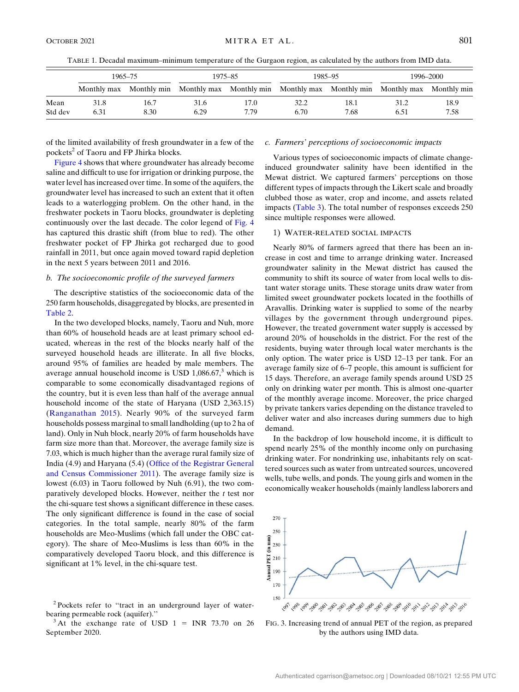TABLE 1. Decadal maximum–minimum temperature of the Gurgaon region, as calculated by the authors from IMD data.

<span id="page-4-0"></span>

|         |      | 1965–75 |                                                                                                 | 1975-85 |      | 1985-95 |      | 1996–2000 |
|---------|------|---------|-------------------------------------------------------------------------------------------------|---------|------|---------|------|-----------|
|         |      |         | Monthly max Monthly min Monthly max Monthly min Monthly max Monthly min Monthly max Monthly min |         |      |         |      |           |
| Mean    | 31.8 | 16.7    | 31.6                                                                                            | 17.0    | 32.2 | 18.1    | 31.2 | 18.9      |
| Std dev | 6.31 | 8.30    | 6.29                                                                                            | 7.79    | 6.70 | 7.68    | 6.51 | 7.58      |

of the limited availability of fresh groundwater in a few of the pockets<sup>2</sup> of Taoru and FP Jhirka blocks.

[Figure 4](#page-5-0) shows that where groundwater has already become saline and difficult to use for irrigation or drinking purpose, the water level has increased over time. In some of the aquifers, the groundwater level has increased to such an extent that it often leads to a waterlogging problem. On the other hand, in the freshwater pockets in Taoru blocks, groundwater is depleting continuously over the last decade. The color legend of [Fig. 4](#page-5-0) has captured this drastic shift (from blue to red). The other freshwater pocket of FP Jhirka got recharged due to good rainfall in 2011, but once again moved toward rapid depletion in the next 5 years between 2011 and 2016.

# b. The socioeconomic profile of the surveyed farmers

The descriptive statistics of the socioeconomic data of the 250 farm households, disaggregated by blocks, are presented in [Table 2](#page-6-0).

In the two developed blocks, namely, Taoru and Nuh, more than 60% of household heads are at least primary school educated, whereas in the rest of the blocks nearly half of the surveyed household heads are illiterate. In all five blocks, around 95% of families are headed by male members. The average annual household income is USD  $1,086.67$ ,<sup>3</sup> which is comparable to some economically disadvantaged regions of the country, but it is even less than half of the average annual household income of the state of Haryana (USD 2,363.15) ([Ranganathan 2015\)](#page-14-9). Nearly 90% of the surveyed farm households possess marginal to small landholding (up to 2 ha of land). Only in Nuh block, nearly 20% of farm households have farm size more than that. Moreover, the average family size is 7.03, which is much higher than the average rural family size of India (4.9) and Haryana (5.4) [\(Office of the Registrar General](#page-14-7) [and Census Commissioner 2011](#page-14-7)). The average family size is lowest (6.03) in Taoru followed by Nuh (6.91), the two comparatively developed blocks. However, neither the  $t$  test nor the chi-square test shows a significant difference in these cases. The only significant difference is found in the case of social categories. In the total sample, nearly 80% of the farm households are Meo-Muslims (which fall under the OBC category). The share of Meo-Muslims is less than 60% in the comparatively developed Taoru block, and this difference is significant at 1% level, in the chi-square test.

# c. Farmers' perceptions of socioeconomic impacts

Various types of socioeconomic impacts of climate changeinduced groundwater salinity have been identified in the Mewat district. We captured farmers' perceptions on those different types of impacts through the Likert scale and broadly clubbed those as water, crop and income, and assets related impacts [\(Table 3\)](#page-6-1). The total number of responses exceeds 250 since multiple responses were allowed.

#### 1) WATER-RELATED SOCIAL IMPACTS

Nearly 80% of farmers agreed that there has been an increase in cost and time to arrange drinking water. Increased groundwater salinity in the Mewat district has caused the community to shift its source of water from local wells to distant water storage units. These storage units draw water from limited sweet groundwater pockets located in the foothills of Aravallis. Drinking water is supplied to some of the nearby villages by the government through underground pipes. However, the treated government water supply is accessed by around 20% of households in the district. For the rest of the residents, buying water through local water merchants is the only option. The water price is USD 12–13 per tank. For an average family size of 6–7 people, this amount is sufficient for 15 days. Therefore, an average family spends around USD 25 only on drinking water per month. This is almost one-quarter of the monthly average income. Moreover, the price charged by private tankers varies depending on the distance traveled to deliver water and also increases during summers due to high demand.

In the backdrop of low household income, it is difficult to spend nearly 25% of the monthly income only on purchasing drinking water. For nondrinking use, inhabitants rely on scattered sources such as water from untreated sources, uncovered wells, tube wells, and ponds. The young girls and women in the economically weaker households (mainly landless laborers and

<span id="page-4-1"></span>

FIG. 3. Increasing trend of annual PET of the region, as prepared by the authors using IMD data.

<sup>&</sup>lt;sup>2</sup> Pockets refer to "tract in an underground layer of waterbearing permeable rock (aquifer).''  $3 \text{ At the exchange rate of USD } 1 = \text{INR } 73.70 \text{ on } 26$ 

September 2020.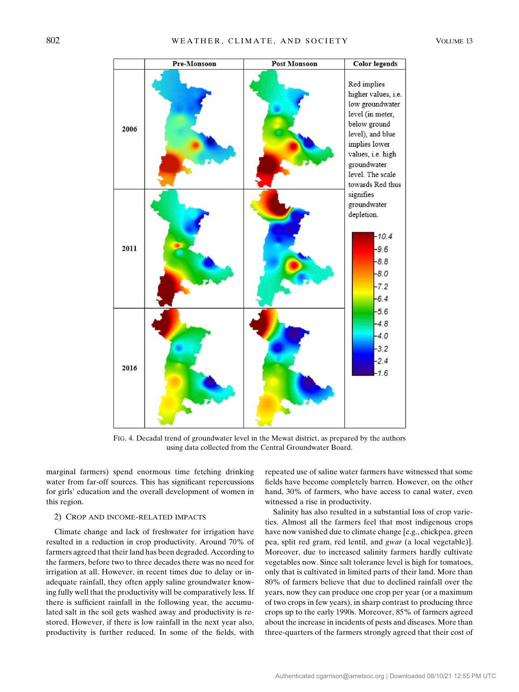<span id="page-5-0"></span>

FIG. 4. Decadal trend of groundwater level in the Mewat district, as prepared by the authors using data collected from the Central Groundwater Board.

marginal farmers) spend enormous time fetching drinking water from far-off sources. This has significant repercussions for girls' education and the overall development of women in this region.

## 2) CROP AND INCOME-RELATED IMPACTS

Climate change and lack of freshwater for irrigation have resulted in a reduction in crop productivity. Around 70% of farmers agreed that their land has been degraded. According to the farmers, before two to three decades there was no need for irrigation at all. However, in recent times due to delay or inadequate rainfall, they often apply saline groundwater knowing fully well that the productivity will be comparatively less. If there is sufficient rainfall in the following year, the accumulated salt in the soil gets washed away and productivity is restored. However, if there is low rainfall in the next year also, productivity is further reduced. In some of the fields, with repeated use of saline water farmers have witnessed that some fields have become completely barren. However, on the other hand, 30% of farmers, who have access to canal water, even witnessed a rise in productivity.

Salinity has also resulted in a substantial loss of crop varieties. Almost all the farmers feel that most indigenous crops have now vanished due to climate change [e.g., chickpea, green pea, split red gram, red lentil, and gwar (a local vegetable)]. Moreover, due to increased salinity farmers hardly cultivate vegetables now. Since salt tolerance level is high for tomatoes, only that is cultivated in limited parts of their land. More than 80% of farmers believe that due to declined rainfall over the years, now they can produce one crop per year (or a maximum of two crops in few years), in sharp contrast to producing three crops up to the early 1990s. Moreover, 85% of farmers agreed about the increase in incidents of pests and diseases. More than three-quarters of the farmers strongly agreed that their cost of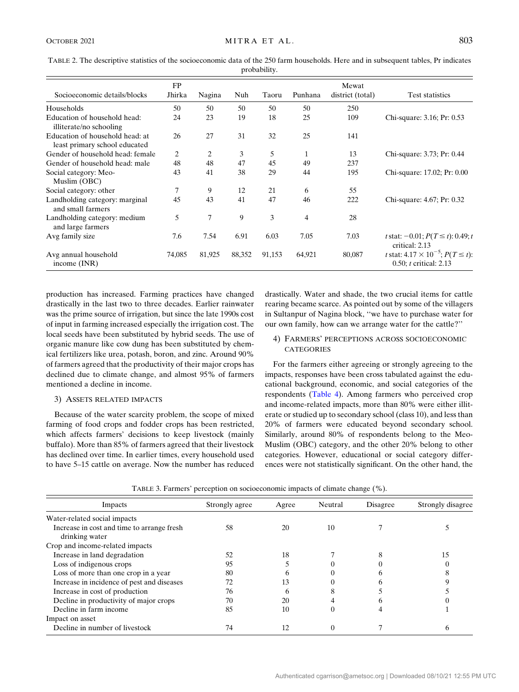<span id="page-6-0"></span>TABLE 2. The descriptive statistics of the socioeconomic data of the 250 farm households. Here and in subsequent tables, Pr indicates probability.

|                                                                  | FP     |                |        |        |                | Mewat            |                                                                                   |
|------------------------------------------------------------------|--------|----------------|--------|--------|----------------|------------------|-----------------------------------------------------------------------------------|
| Socioeconomic details/blocks                                     | Jhirka | Nagina         | Nuh    | Taoru  | Punhana        | district (total) | Test statistics                                                                   |
| Households                                                       | 50     | 50             | 50     | 50     | 50             | 250              |                                                                                   |
| Education of household head:<br>illiterate/no schooling          | 24     | 23             | 19     | 18     | 25             | 109              | Chi-square: 3.16; Pr: 0.53                                                        |
| Education of household head: at<br>least primary school educated | 26     | 27             | 31     | 32     | 25             | 141              |                                                                                   |
| Gender of household head: female                                 | 2      | 2              | 3      | 5      | 1              | 13               | Chi-square: 3.73; Pr: 0.44                                                        |
| Gender of household head: male                                   | 48     | 48             | 47     | 45     | 49             | 237              |                                                                                   |
| Social category: Meo-<br>Muslim (OBC)                            | 43     | 41             | 38     | 29     | 44             | 195              | Chi-square: 17.02; Pr: 0.00                                                       |
| Social category: other                                           | 7      | 9              | 12     | 21     | 6              | 55               |                                                                                   |
| Landholding category: marginal<br>and small farmers              | 45     | 43             | 41     | 47     | 46             | 222              | Chi-square: 4.67; Pr: 0.32                                                        |
| Landholding category: medium<br>and large farmers                | 5      | $\overline{7}$ | 9      | 3      | $\overline{4}$ | 28               |                                                                                   |
| Avg family size                                                  | 7.6    | 7.54           | 6.91   | 6.03   | 7.05           | 7.03             | t stat: $-0.01$ ; $P(T \le t)$ : 0.49; t<br>critical: 2.13                        |
| Avg annual household<br>income $(INR)$                           | 74,085 | 81,925         | 88,352 | 91,153 | 64,921         | 80,087           | <i>t</i> stat: $4.17 \times 10^{-5}$ ; $P(T \le t)$ :<br>0.50; $t$ critical: 2.13 |

production has increased. Farming practices have changed drastically in the last two to three decades. Earlier rainwater was the prime source of irrigation, but since the late 1990s cost of input in farming increased especially the irrigation cost. The local seeds have been substituted by hybrid seeds. The use of organic manure like cow dung has been substituted by chemical fertilizers like urea, potash, boron, and zinc. Around 90% of farmers agreed that the productivity of their major crops has declined due to climate change, and almost 95% of farmers mentioned a decline in income.

#### 3) ASSETS RELATED IMPACTS

Because of the water scarcity problem, the scope of mixed farming of food crops and fodder crops has been restricted, which affects farmers' decisions to keep livestock (mainly buffalo). More than 85% of farmers agreed that their livestock has declined over time. In earlier times, every household used to have 5–15 cattle on average. Now the number has reduced drastically. Water and shade, the two crucial items for cattle rearing became scarce. As pointed out by some of the villagers in Sultanpur of Nagina block, ''we have to purchase water for our own family, how can we arrange water for the cattle?''

# 4) FARMERS' PERCEPTIONS ACROSS SOCIOECONOMIC **CATEGORIES**

For the farmers either agreeing or strongly agreeing to the impacts, responses have been cross tabulated against the educational background, economic, and social categories of the respondents ([Table 4\)](#page-7-0). Among farmers who perceived crop and income-related impacts, more than 80% were either illiterate or studied up to secondary school (class 10), and less than 20% of farmers were educated beyond secondary school. Similarly, around 80% of respondents belong to the Meo-Muslim (OBC) category, and the other 20% belong to other categories. However, educational or social category differences were not statistically significant. On the other hand, the

<span id="page-6-1"></span>

| Impacts                                    | Strongly agree | Agree | Neutral | Disagree | Strongly disagree |
|--------------------------------------------|----------------|-------|---------|----------|-------------------|
| Water-related social impacts               |                |       |         |          |                   |
| Increase in cost and time to arrange fresh | 58             | 20    | 10      |          |                   |
| drinking water                             |                |       |         |          |                   |
| Crop and income-related impacts            |                |       |         |          |                   |
| Increase in land degradation               | 52             | 18    |         |          | 15                |
| Loss of indigenous crops                   | 95             |       |         |          |                   |
| Loss of more than one crop in a year       | 80             |       |         |          |                   |
| Increase in incidence of pest and diseases | 72             | 13    |         |          |                   |
| Increase in cost of production             | 76             |       |         |          |                   |
| Decline in productivity of major crops     | 70             | 20    |         |          |                   |
| Decline in farm income                     | 85             | 10    |         |          |                   |
| Impact on asset                            |                |       |         |          |                   |
| Decline in number of livestock             | 74             |       |         |          |                   |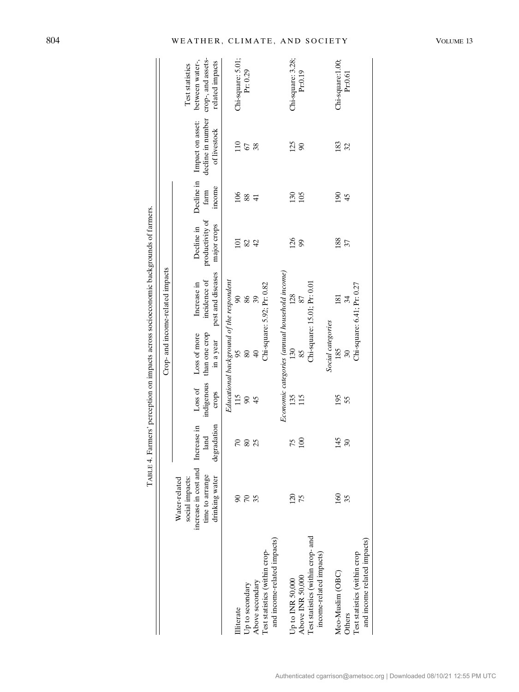|                                   |                                                          |                     |                     |                                          |                                               | J                              |                |                                   |                                       |
|-----------------------------------|----------------------------------------------------------|---------------------|---------------------|------------------------------------------|-----------------------------------------------|--------------------------------|----------------|-----------------------------------|---------------------------------------|
|                                   |                                                          |                     |                     |                                          | Crop- and income-related impacts              |                                |                |                                   |                                       |
|                                   | increase in cost and<br>Water-related<br>social impacts: | Increase in         | Loss of             | Loss of more                             | Increase in                                   | Decline in                     |                | Decline in Impact on asset:       | between water-,<br>Test statistics    |
|                                   | time to arrange<br>drinking water                        | degradation<br>land | indigenous<br>crops | than one crop<br>in a year               | pest and diseases<br>incidence of             | productivity of<br>major crops | income<br>farm | decline in number<br>of livestock | crop-, and assets-<br>related impacts |
|                                   |                                                          |                     |                     | Educational background of the respondent |                                               |                                |                |                                   |                                       |
| lliterate                         |                                                          | $\sqrt{2}$          | 115                 | 95                                       | $\infty$                                      | $\Xi$                          | 106            | 110                               | Chi-square: 5.01;                     |
| Up to secondary                   | $\sqrt{2}$                                               | 80                  | S                   | 80                                       | 86                                            | 82                             | 88             | 67                                | Pr: 0.29                              |
| Above secondary                   | 35                                                       | 25                  | 45                  | $\Theta$                                 | 39                                            | $\overline{d}$                 | $\overline{4}$ | 38                                |                                       |
| Test statistics (within crop-     |                                                          |                     |                     |                                          | Chi-square: 5.92; Pr: 0.82                    |                                |                |                                   |                                       |
| and income-related impacts)       |                                                          |                     |                     |                                          |                                               |                                |                |                                   |                                       |
|                                   |                                                          |                     |                     |                                          | Economic categories (annual household income) |                                |                |                                   |                                       |
| Up to INR 50,000                  | 120                                                      | 75                  | 135                 | 130                                      | 128                                           | 126                            | 130            | 125                               | Chi-square: 3.28;                     |
| Above INR 50,000                  | 75                                                       | 100                 | 115                 | 85                                       | 87                                            | 99                             | 105            | $\infty$                          | Pr:0.19                               |
| Test statistics (within crop- and |                                                          |                     |                     |                                          | Chi-square: 15.01; Pr: 0.01                   |                                |                |                                   |                                       |
| income-related impacts)           |                                                          |                     |                     |                                          |                                               |                                |                |                                   |                                       |
|                                   |                                                          |                     |                     | Social categories                        |                                               |                                |                |                                   |                                       |
| Meo-Muslim (OBC)                  | $\overline{160}$                                         | 145                 | 195                 | 185                                      | 181                                           | 188                            | 190            | 183                               | Chi-square:1.00;                      |
| Others                            | 35                                                       | $30\,$              | 55                  |                                          | 34                                            | 57                             | 45             | 32                                | Pr:0.61                               |
| Test statistics (within crop      |                                                          |                     |                     |                                          | Chi-square: 6.41; Pr: 0.27                    |                                |                |                                   |                                       |
| and income related impacts)       |                                                          |                     |                     |                                          |                                               |                                |                |                                   |                                       |
|                                   |                                                          |                     |                     |                                          |                                               |                                |                |                                   |                                       |

TABLE 4. Farmers' perception on impacts across socioeconomic backgrounds of farmers. TABLE 4. Farmers' perception on impacts across socioeconomic backgrounds of farmers.

# <span id="page-7-0"></span>804 WEATHER, CLIMATE, AND SOCIETY VOLUME 13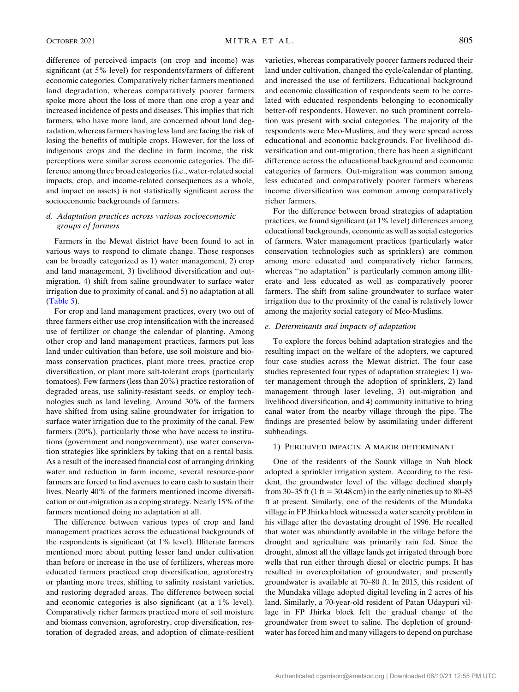difference of perceived impacts (on crop and income) was significant (at 5% level) for respondents/farmers of different economic categories. Comparatively richer farmers mentioned land degradation, whereas comparatively poorer farmers spoke more about the loss of more than one crop a year and increased incidence of pests and diseases. This implies that rich farmers, who have more land, are concerned about land degradation, whereas farmers having less land are facing the risk of losing the benefits of multiple crops. However, for the loss of indigenous crops and the decline in farm income, the risk perceptions were similar across economic categories. The difference among three broad categories (i.e., water-related social impacts, crop, and income-related consequences as a whole, and impact on assets) is not statistically significant across the socioeconomic backgrounds of farmers.

# d. Adaptation practices across various socioeconomic groups of farmers

Farmers in the Mewat district have been found to act in various ways to respond to climate change. Those responses can be broadly categorized as 1) water management, 2) crop and land management, 3) livelihood diversification and outmigration, 4) shift from saline groundwater to surface water irrigation due to proximity of canal, and 5) no adaptation at all ([Table 5](#page-9-0)).

For crop and land management practices, every two out of three farmers either use crop intensification with the increased use of fertilizer or change the calendar of planting. Among other crop and land management practices, farmers put less land under cultivation than before, use soil moisture and biomass conservation practices, plant more trees, practice crop diversification, or plant more salt-tolerant crops (particularly tomatoes). Few farmers (less than 20%) practice restoration of degraded areas, use salinity-resistant seeds, or employ technologies such as land leveling. Around 30% of the farmers have shifted from using saline groundwater for irrigation to surface water irrigation due to the proximity of the canal. Few farmers (20%), particularly those who have access to institutions (government and nongovernment), use water conservation strategies like sprinklers by taking that on a rental basis. As a result of the increased financial cost of arranging drinking water and reduction in farm income, several resource-poor farmers are forced to find avenues to earn cash to sustain their lives. Nearly 40% of the farmers mentioned income diversification or out-migration as a coping strategy. Nearly 15% of the farmers mentioned doing no adaptation at all.

The difference between various types of crop and land management practices across the educational backgrounds of the respondents is significant (at 1% level). Illiterate farmers mentioned more about putting lesser land under cultivation than before or increase in the use of fertilizers, whereas more educated farmers practiced crop diversification, agroforestry or planting more trees, shifting to salinity resistant varieties, and restoring degraded areas. The difference between social and economic categories is also significant (at a 1% level). Comparatively richer farmers practiced more of soil moisture and biomass conversion, agroforestry, crop diversification, restoration of degraded areas, and adoption of climate-resilient varieties, whereas comparatively poorer farmers reduced their land under cultivation, changed the cycle/calendar of planting, and increased the use of fertilizers. Educational background and economic classification of respondents seem to be correlated with educated respondents belonging to economically better-off respondents. However, no such prominent correlation was present with social categories. The majority of the respondents were Meo-Muslims, and they were spread across educational and economic backgrounds. For livelihood diversification and out-migration, there has been a significant difference across the educational background and economic categories of farmers. Out-migration was common among less educated and comparatively poorer farmers whereas income diversification was common among comparatively richer farmers.

For the difference between broad strategies of adaptation practices, we found significant (at 1% level) differences among educational backgrounds, economic as well as social categories of farmers. Water management practices (particularly water conservation technologies such as sprinklers) are common among more educated and comparatively richer farmers, whereas "no adaptation" is particularly common among illiterate and less educated as well as comparatively poorer farmers. The shift from saline groundwater to surface water irrigation due to the proximity of the canal is relatively lower among the majority social category of Meo-Muslims.

# e. Determinants and impacts of adaptation

To explore the forces behind adaptation strategies and the resulting impact on the welfare of the adopters, we captured four case studies across the Mewat district. The four case studies represented four types of adaptation strategies: 1) water management through the adoption of sprinklers, 2) land management through laser leveling, 3) out-migration and livelihood diversification, and 4) community initiative to bring canal water from the nearby village through the pipe. The findings are presented below by assimilating under different subheadings.

# 1) PERCEIVED IMPACTS: A MAJOR DETERMINANT

One of the residents of the Sounk village in Nuh block adopted a sprinkler irrigation system. According to the resident, the groundwater level of the village declined sharply from 30–35 ft (1 ft = 30.48 cm) in the early nineties up to 80–85 ft at present. Similarly, one of the residents of the Mundaka village in FP Jhirka block witnessed a water scarcity problem in his village after the devastating drought of 1996. He recalled that water was abundantly available in the village before the drought and agriculture was primarily rain fed. Since the drought, almost all the village lands get irrigated through bore wells that run either through diesel or electric pumps. It has resulted in overexploitation of groundwater, and presently groundwater is available at 70–80 ft. In 2015, this resident of the Mundaka village adopted digital leveling in 2 acres of his land. Similarly, a 70-year-old resident of Patan Udaypuri village in FP Jhirka block felt the gradual change of the groundwater from sweet to saline. The depletion of groundwater has forced him and many villagers to depend on purchase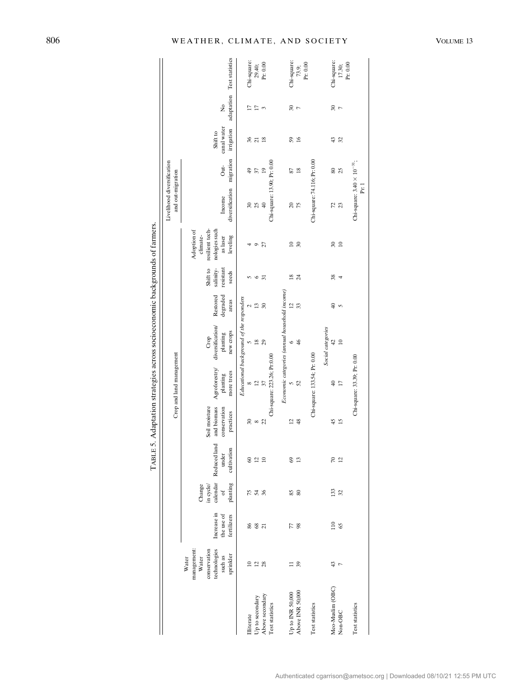<span id="page-9-0"></span>

|                               |                                                                                                |                                          |                                                                                                               |                                                                                    |                                                           | Ĵ                                       |                                                          |                               | Ĵ                                           |                                                                                     |                                                 |                            |                                       |                      |                            |
|-------------------------------|------------------------------------------------------------------------------------------------|------------------------------------------|---------------------------------------------------------------------------------------------------------------|------------------------------------------------------------------------------------|-----------------------------------------------------------|-----------------------------------------|----------------------------------------------------------|-------------------------------|---------------------------------------------|-------------------------------------------------------------------------------------|-------------------------------------------------|----------------------------|---------------------------------------|----------------------|----------------------------|
|                               |                                                                                                |                                          |                                                                                                               |                                                                                    |                                                           | Crop and land management                |                                                          |                               |                                             |                                                                                     | Livelihood diversification<br>and out-migration |                            |                                       |                      |                            |
|                               | management:<br>technologies<br>conservation<br>sprinkler<br>$\mbox{such}$ as<br>Water<br>Water | Increase in<br>the use of<br>fertilizers | $\begin{array}{l} \text{Change}\\ \text{in cycle} \\ \text{cal}\\ \text{calendar} \end{array}$<br>of planting | Reduced land<br>cultivation<br>under                                               | and biomass<br>Soil moisture<br>conservation<br>practices | Agroforestry/<br>more trees<br>planting | diversification/<br>new crops<br>planting<br>Crop        | degraded<br>Restored<br>areas | salinity-<br>Shift to<br>resistant<br>seeds | resilient tech-<br>nologies such<br>Adoption of<br>climate-<br>leveling<br>as laser | diversification<br>Income                       | migration<br>$\frac{1}{2}$ | canal water<br>irrigation<br>Shift to | $\frac{1}{2}$        | adaptation Test statistics |
|                               |                                                                                                |                                          |                                                                                                               |                                                                                    |                                                           |                                         | Educational background of the responders                 |                               |                                             |                                                                                     |                                                 |                            |                                       |                      |                            |
| Up to secondary<br>Illiterate | $\Xi$                                                                                          | ಹಿ & ಸ                                   | <b>75 36</b>                                                                                                  | $\circledcirc$<br>$\overline{12}$                                                  | $\mathfrak{D}$                                            | $\infty$                                | $\frac{8}{2}$                                            | $\overline{13}$               | $\circ$                                     | $\circ$                                                                             | 30<br>25                                        | $\frac{9}{4}$<br>57        | 36<br>$\overline{z}$                  | $\Box$<br>Ξ          | Chi-square:                |
| Above secondary               | $\frac{2}{28}$                                                                                 |                                          |                                                                                                               | $\ensuremath{\mathop{\boxtimes}\limits^{\mathop{\mathop{\mathrm{max}}\nolimits}}}$ | $\begin{smallmatrix}8\\8\end{smallmatrix}$                | 37                                      | 29                                                       | $\overline{30}$               | $\overline{31}$                             | 27                                                                                  | $40$                                            | $\overline{19}$            | $\frac{8}{2}$                         | 3                    | $29.40;$<br>Pr: 0.00       |
| Test statistics               |                                                                                                |                                          |                                                                                                               |                                                                                    |                                                           | Chi-square: 223.26; Pr:0.00             |                                                          |                               |                                             |                                                                                     | Chi-square: 13.90; Pr: 0.00                     |                            |                                       |                      |                            |
| Up to INR 50,000              |                                                                                                | 77                                       |                                                                                                               | $\degree$                                                                          | $\overline{c}$                                            | n                                       | Economic categories (annual household income)<br>$\circ$ | $\overline{c}$                | $\frac{8}{2}$                               | $\approx$                                                                           | $\approx$                                       | 87                         | 59                                    | ೫                    | Chi-square:                |
| Above INR 50,000              | 39                                                                                             | 98                                       | SS 88                                                                                                         | $\overline{13}$                                                                    | $\frac{8}{3}$                                             | $\mathfrak{S}$                          | $\frac{4}{6}$                                            | 33                            | $\overline{24}$                             | 30                                                                                  | 75                                              | $\frac{8}{2}$              | 16                                    | $\overline{r}$       | 73.9;                      |
| Test statistics               |                                                                                                |                                          |                                                                                                               |                                                                                    |                                                           | Chi-square: 133.54; Pr: 0.00            |                                                          |                               |                                             |                                                                                     | Chi-square: 74.116; Pr: 0.00                    |                            |                                       |                      | $\Pr: 0.00$                |
|                               |                                                                                                |                                          |                                                                                                               |                                                                                    |                                                           |                                         | Social categories                                        |                               |                                             |                                                                                     |                                                 |                            |                                       |                      |                            |
| Meo-Muslim (OBC)<br>Non-OBC   | 43<br>$\overline{r}$                                                                           | $\frac{1}{2}$<br>65                      | 133<br>32                                                                                                     | $\approx$<br>$\overline{12}$                                                       | $\overline{15}$<br>45                                     | $\overline{17}$<br>₽                    | 42<br>$\approx$                                          | $\frac{1}{2}$<br>S            | 38<br>4                                     | $\overline{\mathcal{E}}$<br>$\approx$                                               | 72<br>23                                        | 80<br>$\mathfrak{L}$       | 43<br>32                              | 30<br>$\overline{r}$ | Chi-square:<br>17.30;      |
| Test statistics               |                                                                                                |                                          |                                                                                                               |                                                                                    |                                                           | Chi-square: 33.39; Pr: 0.00             |                                                          |                               |                                             |                                                                                     | Chi-square: $3.40 \times 10^{-31}$ ;<br>Pr: 1   |                            |                                       |                      | Pr: 0.00                   |

TABLE 5. Adaptation strategies across socioeconomic backgrounds of farmers. TABLE 5. Adaptation strategies across socioeconomic backgrounds of farmers.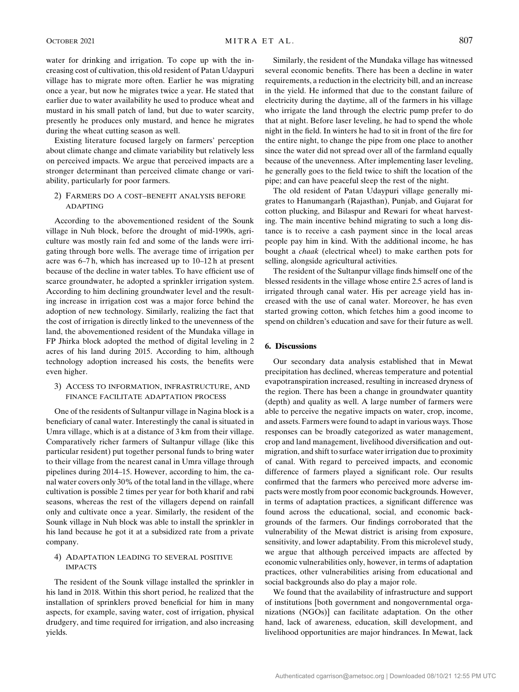OCTOBER 2021 **MITRA ET AL.** 807

water for drinking and irrigation. To cope up with the increasing cost of cultivation, this old resident of Patan Udaypuri village has to migrate more often. Earlier he was migrating once a year, but now he migrates twice a year. He stated that earlier due to water availability he used to produce wheat and mustard in his small patch of land, but due to water scarcity, presently he produces only mustard, and hence he migrates during the wheat cutting season as well.

Existing literature focused largely on farmers' perception about climate change and climate variability but relatively less on perceived impacts. We argue that perceived impacts are a stronger determinant than perceived climate change or variability, particularly for poor farmers.

# 2) FARMERS DO A COST–BENEFIT ANALYSIS BEFORE ADAPTING

According to the abovementioned resident of the Sounk village in Nuh block, before the drought of mid-1990s, agriculture was mostly rain fed and some of the lands were irrigating through bore wells. The average time of irrigation per acre was 6–7 h, which has increased up to 10–12 h at present because of the decline in water tables. To have efficient use of scarce groundwater, he adopted a sprinkler irrigation system. According to him declining groundwater level and the resulting increase in irrigation cost was a major force behind the adoption of new technology. Similarly, realizing the fact that the cost of irrigation is directly linked to the unevenness of the land, the abovementioned resident of the Mundaka village in FP Jhirka block adopted the method of digital leveling in 2 acres of his land during 2015. According to him, although technology adoption increased his costs, the benefits were even higher.

# 3) ACCESS TO INFORMATION, INFRASTRUCTURE, AND FINANCE FACILITATE ADAPTATION PROCESS

One of the residents of Sultanpur village in Nagina block is a beneficiary of canal water. Interestingly the canal is situated in Umra village, which is at a distance of 3 km from their village. Comparatively richer farmers of Sultanpur village (like this particular resident) put together personal funds to bring water to their village from the nearest canal in Umra village through pipelines during 2014–15. However, according to him, the canal water covers only 30% of the total land in the village, where cultivation is possible 2 times per year for both kharif and rabi seasons, whereas the rest of the villagers depend on rainfall only and cultivate once a year. Similarly, the resident of the Sounk village in Nuh block was able to install the sprinkler in his land because he got it at a subsidized rate from a private company.

## 4) ADAPTATION LEADING TO SEVERAL POSITIVE IMPACTS

The resident of the Sounk village installed the sprinkler in his land in 2018. Within this short period, he realized that the installation of sprinklers proved beneficial for him in many aspects, for example, saving water, cost of irrigation, physical drudgery, and time required for irrigation, and also increasing yields.

Similarly, the resident of the Mundaka village has witnessed several economic benefits. There has been a decline in water requirements, a reduction in the electricity bill, and an increase in the yield. He informed that due to the constant failure of electricity during the daytime, all of the farmers in his village who irrigate the land through the electric pump prefer to do that at night. Before laser leveling, he had to spend the whole night in the field. In winters he had to sit in front of the fire for the entire night, to change the pipe from one place to another since the water did not spread over all of the farmland equally because of the unevenness. After implementing laser leveling, he generally goes to the field twice to shift the location of the pipe; and can have peaceful sleep the rest of the night.

The old resident of Patan Udaypuri village generally migrates to Hanumangarh (Rajasthan), Punjab, and Gujarat for cotton plucking, and Bilaspur and Rewari for wheat harvesting. The main incentive behind migrating to such a long distance is to receive a cash payment since in the local areas people pay him in kind. With the additional income, he has bought a chaak (electrical wheel) to make earthen pots for selling, alongside agricultural activities.

The resident of the Sultanpur village finds himself one of the blessed residents in the village whose entire 2.5 acres of land is irrigated through canal water. His per acreage yield has increased with the use of canal water. Moreover, he has even started growing cotton, which fetches him a good income to spend on children's education and save for their future as well.

## 6. Discussions

Our secondary data analysis established that in Mewat precipitation has declined, whereas temperature and potential evapotranspiration increased, resulting in increased dryness of the region. There has been a change in groundwater quantity (depth) and quality as well. A large number of farmers were able to perceive the negative impacts on water, crop, income, and assets. Farmers were found to adapt in various ways. Those responses can be broadly categorized as water management, crop and land management, livelihood diversification and outmigration, and shift to surface water irrigation due to proximity of canal. With regard to perceived impacts, and economic difference of farmers played a significant role. Our results confirmed that the farmers who perceived more adverse impacts were mostly from poor economic backgrounds. However, in terms of adaptation practices, a significant difference was found across the educational, social, and economic backgrounds of the farmers. Our findings corroborated that the vulnerability of the Mewat district is arising from exposure, sensitivity, and lower adaptability. From this microlevel study, we argue that although perceived impacts are affected by economic vulnerabilities only, however, in terms of adaptation practices, other vulnerabilities arising from educational and social backgrounds also do play a major role.

We found that the availability of infrastructure and support of institutions [both government and nongovernmental organizations (NGOs)] can facilitate adaptation. On the other hand, lack of awareness, education, skill development, and livelihood opportunities are major hindrances. In Mewat, lack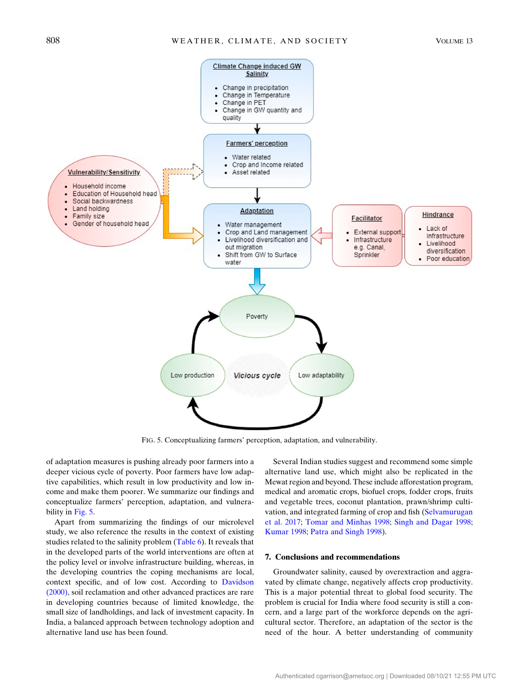<span id="page-11-0"></span>

FIG. 5. Conceptualizing farmers' perception, adaptation, and vulnerability.

of adaptation measures is pushing already poor farmers into a deeper vicious cycle of poverty. Poor farmers have low adaptive capabilities, which result in low productivity and low income and make them poorer. We summarize our findings and conceptualize farmers' perception, adaptation, and vulnera-bility in [Fig. 5.](#page-11-0)

Apart from summarizing the findings of our microlevel study, we also reference the results in the context of existing studies related to the salinity problem ([Table 6\)](#page-12-5). It reveals that in the developed parts of the world interventions are often at the policy level or involve infrastructure building, whereas, in the developing countries the coping mechanisms are local, context specific, and of low cost. According to [Davidson](#page-13-28) [\(2000\),](#page-13-28) soil reclamation and other advanced practices are rare in developing countries because of limited knowledge, the small size of landholdings, and lack of investment capacity. In India, a balanced approach between technology adoption and alternative land use has been found.

Several Indian studies suggest and recommend some simple alternative land use, which might also be replicated in the Mewat region and beyond. These include afforestation program, medical and aromatic crops, biofuel crops, fodder crops, fruits and vegetable trees, coconut plantation, prawn/shrimp cultivation, and integrated farming of crop and fish [\(Selvamurugan](#page-14-10) [et al. 2017](#page-14-10); [Tomar and Minhas 1998;](#page-14-11) [Singh and Dagar 1998](#page-14-12); [Kumar 1998;](#page-13-29) [Patra and Singh 1998](#page-14-13)).

# 7. Conclusions and recommendations

Groundwater salinity, caused by overextraction and aggravated by climate change, negatively affects crop productivity. This is a major potential threat to global food security. The problem is crucial for India where food security is still a concern, and a large part of the workforce depends on the agricultural sector. Therefore, an adaptation of the sector is the need of the hour. A better understanding of community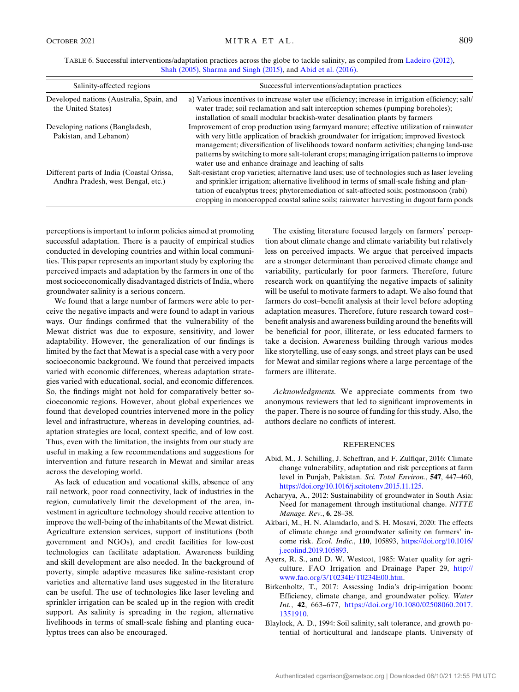<span id="page-12-5"></span>

| TABLE 6. Successful interventions/adaptation practices across the globe to tackle salinity, as compiled from Ladeiro (2012), |  |
|------------------------------------------------------------------------------------------------------------------------------|--|
| Shah $(2005)$ , Sharma and Singh $(2015)$ , and Abid et al. $(2016)$ .                                                       |  |

| Salinity-affected regions                                                       | Successful interventions/adaptation practices                                                                                                                                                                                                                                                                                                                                                                                        |
|---------------------------------------------------------------------------------|--------------------------------------------------------------------------------------------------------------------------------------------------------------------------------------------------------------------------------------------------------------------------------------------------------------------------------------------------------------------------------------------------------------------------------------|
| Developed nations (Australia, Spain, and<br>the United States)                  | a) Various incentives to increase water use efficiency; increase in irrigation efficiency; salt/<br>water trade; soil reclamation and salt interception schemes (pumping boreholes);<br>installation of small modular brackish-water desalination plants by farmers                                                                                                                                                                  |
| Developing nations (Bangladesh,<br>Pakistan, and Lebanon)                       | Improvement of crop production using farmyard manure; effective utilization of rainwater<br>with very little application of brackish groundwater for irrigation; improved livestock<br>management; diversification of livelihoods toward nonfarm activities; changing land-use<br>patterns by switching to more salt-tolerant crops; managing irrigation patterns to improve<br>water use and enhance drainage and leaching of salts |
| Different parts of India (Coastal Orissa,<br>Andhra Pradesh, west Bengal, etc.) | Salt-resistant crop varieties; alternative land uses; use of technologies such as laser leveling<br>and sprinkler irrigation; alternative livelihood in terms of small-scale fishing and plan-<br>tation of eucalyptus trees; phytoremediation of salt-affected soils; postmonsoon (rabi)<br>cropping in monocropped coastal saline soils; rainwater harvesting in dugout farm ponds                                                 |

perceptions is important to inform policies aimed at promoting successful adaptation. There is a paucity of empirical studies conducted in developing countries and within local communities. This paper represents an important study by exploring the perceived impacts and adaptation by the farmers in one of the most socioeconomically disadvantaged districts of India, where groundwater salinity is a serious concern.

We found that a large number of farmers were able to perceive the negative impacts and were found to adapt in various ways. Our findings confirmed that the vulnerability of the Mewat district was due to exposure, sensitivity, and lower adaptability. However, the generalization of our findings is limited by the fact that Mewat is a special case with a very poor socioeconomic background. We found that perceived impacts varied with economic differences, whereas adaptation strategies varied with educational, social, and economic differences. So, the findings might not hold for comparatively better socioeconomic regions. However, about global experiences we found that developed countries intervened more in the policy level and infrastructure, whereas in developing countries, adaptation strategies are local, context specific, and of low cost. Thus, even with the limitation, the insights from our study are useful in making a few recommendations and suggestions for intervention and future research in Mewat and similar areas across the developing world.

As lack of education and vocational skills, absence of any rail network, poor road connectivity, lack of industries in the region, cumulatively limit the development of the area, investment in agriculture technology should receive attention to improve the well-being of the inhabitants of the Mewat district. Agriculture extension services, support of institutions (both government and NGOs), and credit facilities for low-cost technologies can facilitate adaptation. Awareness building and skill development are also needed. In the background of poverty, simple adaptive measures like saline-resistant crop varieties and alternative land uses suggested in the literature can be useful. The use of technologies like laser leveling and sprinkler irrigation can be scaled up in the region with credit support. As salinity is spreading in the region, alternative livelihoods in terms of small-scale fishing and planting eucalyptus trees can also be encouraged.

The existing literature focused largely on farmers' perception about climate change and climate variability but relatively less on perceived impacts. We argue that perceived impacts are a stronger determinant than perceived climate change and variability, particularly for poor farmers. Therefore, future research work on quantifying the negative impacts of salinity will be useful to motivate farmers to adapt. We also found that farmers do cost–benefit analysis at their level before adopting adaptation measures. Therefore, future research toward cost– benefit analysis and awareness building around the benefits will be beneficial for poor, illiterate, or less educated farmers to take a decision. Awareness building through various modes like storytelling, use of easy songs, and street plays can be used for Mewat and similar regions where a large percentage of the farmers are illiterate.

Acknowledgments. We appreciate comments from two anonymous reviewers that led to significant improvements in the paper. There is no source of funding for this study. Also, the authors declare no conflicts of interest.

# **REFERENCES**

- <span id="page-12-6"></span>Abid, M., J. Schilling, J. Scheffran, and F. Zulfiqar, 2016: Climate change vulnerability, adaptation and risk perceptions at farm level in Punjab, Pakistan. Sci. Total Environ., 547, 447–460, [https://doi.org/10.1016/j.scitotenv.2015.11.125.](https://doi.org/10.1016/j.scitotenv.2015.11.125)
- <span id="page-12-4"></span>Acharyya, A., 2012: Sustainability of groundwater in South Asia: Need for management through institutional change. NITTE Manage. Rev., 6, 28–38.
- <span id="page-12-1"></span>Akbari, M., H. N. Alamdarlo, and S. H. Mosavi, 2020: The effects of climate change and groundwater salinity on farmers' income risk. Ecol. Indic., 110, 105893, [https://doi.org/10.1016/](https://doi.org/10.1016/j.ecolind.2019.105893) [j.ecolind.2019.105893.](https://doi.org/10.1016/j.ecolind.2019.105893)
- <span id="page-12-2"></span>Ayers, R. S., and D. W. Westcot, 1985: Water quality for agriculture. FAO Irrigation and Drainage Paper 29, [http://](http://www.fao.org/3/T0234E/T0234E00.htm) [www.fao.org/3/T0234E/T0234E00.htm](http://www.fao.org/3/T0234E/T0234E00.htm).
- <span id="page-12-0"></span>Birkenholtz, T., 2017: Assessing India's drip-irrigation boom: Efficiency, climate change, and groundwater policy. Water Int., 42, 663–677, [https://doi.org/10.1080/02508060.2017.](https://doi.org/10.1080/02508060.2017.1351910) [1351910](https://doi.org/10.1080/02508060.2017.1351910).
- <span id="page-12-3"></span>Blaylock, A. D., 1994: Soil salinity, salt tolerance, and growth potential of horticultural and landscape plants. University of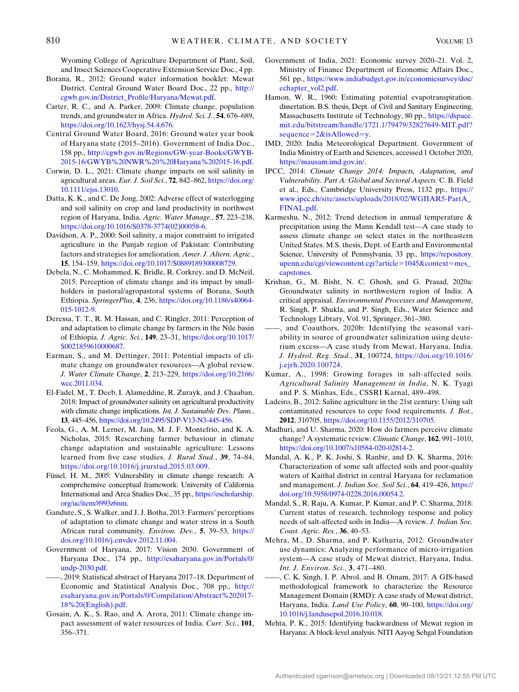Wyoming College of Agriculture Department of Plant, Soil, and Insect Sciences Cooperative Extension Service Doc., 4 pp.

- <span id="page-13-10"></span>Borana, R., 2012: Ground water information booklet: Mewat District. Central Ground Water Board Doc., 22 pp., [http://](http://cgwb.gov.in/District_Profile/Haryana/Mewat.pdf) [cgwb.gov.in/District\\_Profile/Haryana/Mewat.pdf.](http://cgwb.gov.in/District_Profile/Haryana/Mewat.pdf)
- <span id="page-13-13"></span>Carter, R. C., and A. Parker, 2009: Climate change, population trends, and groundwater in Africa. Hydrol. Sci. J., 54, 676–689, <https://doi.org/10.1623/hysj.54.4.676>.
- <span id="page-13-24"></span>Central Ground Water Board, 2016: Ground water year book of Haryana state (2015–2016). Government of India Doc., 158 pp., [http://cgwb.gov.in/Regions/GW-year-Books/GWYB-](http://cgwb.gov.in/Regions/GW-year-Books/GWYB-2015-16/GWYB%20NWR%20%20Haryana%202015-16.pdf)[2015-16/GWYB%20NWR%20%20Haryana%202015-16.pdf](http://cgwb.gov.in/Regions/GW-year-Books/GWYB-2015-16/GWYB%20NWR%20%20Haryana%202015-16.pdf).
- <span id="page-13-14"></span>Corwin, D. L., 2021: Climate change impacts on soil salinity in agricultural areas. Eur. J. Soil Sci., 72, 842–862, [https://doi.org/](https://doi.org/10.1111/ejss.13010) [10.1111/ejss.13010.](https://doi.org/10.1111/ejss.13010)
- <span id="page-13-7"></span>Datta, K. K., and C. De Jong, 2002: Adverse effect of waterlogging and soil salinity on crop and land productivity in northwest region of Haryana, India. Agric. Water Manage., 57, 223–238, [https://doi.org/10.1016/S0378-3774\(02\)00058-6.](https://doi.org/10.1016/S0378-3774(02)00058-6)
- <span id="page-13-28"></span>Davidson, A. P., 2000: Soil salinity, a major constraint to irrigated agriculture in the Punjab region of Pakistan: Contributing factors and strategies for amelioration. Amer. J. Altern. Agric., 15, 154–159, [https://doi.org/10.1017/S0889189300008729.](https://doi.org/10.1017/S0889189300008729)
- <span id="page-13-17"></span>Debela, N., C. Mohammed, K. Bridle, R. Corkrey, and D. McNeil, 2015: Perception of climate change and its impact by smallholders in pastoral/agropastoral systems of Borana, South Ethiopia. SpringerPlus, 4, 236, [https://doi.org/10.1186/s40064-](https://doi.org/10.1186/s40064-015-1012-9) [015-1012-9](https://doi.org/10.1186/s40064-015-1012-9).
- <span id="page-13-15"></span>Deressa, T. T., R. M. Hassan, and C. Ringler, 2011: Perception of and adaptation to climate change by farmers in the Nile basin of Ethiopia. J. Agric. Sci., 149, 23–31, [https://doi.org/10.1017/](https://doi.org/10.1017/S0021859610000687) [S0021859610000687](https://doi.org/10.1017/S0021859610000687).
- <span id="page-13-0"></span>Earman, S., and M. Dettinger, 2011: Potential impacts of climate change on groundwater resources—A global review. J. Water Climate Change, 2, 213–229, [https://doi.org/10.2166/](https://doi.org/10.2166/wcc.2011.034) [wcc.2011.034.](https://doi.org/10.2166/wcc.2011.034)
- <span id="page-13-11"></span>El-Fadel, M., T. Deeb, I. Alameddine, R. Zurayk, and J. Chaaban, 2018: Impact of groundwater salinity on agricultural productivity with climate change implications. Int. J. Sustainable Dev. Plann., 13, 445–456, [https://doi.org/10.2495/SDP-V13-N3-445-456.](https://doi.org/10.2495/SDP-V13-N3-445-456)
- <span id="page-13-16"></span>Feola, G., A. M. Lerner, M. Jain, M. J. F. Montefrio, and K. A. Nicholas, 2015: Researching farmer behaviour in climate change adaptation and sustainable agriculture: Lessons learned from five case studies. J. Rural Stud., 39, 74–84, [https://doi.org/10.1016/j.jrurstud.2015.03.009.](https://doi.org/10.1016/j.jrurstud.2015.03.009)
- <span id="page-13-20"></span>Füssel, H. M., 2005: Vulnerability in climate change research: A comprehensive conceptual framework. University of California International and Area Studies Doc., 35 pp., [https://escholarship.](https://escholarship.org/uc/item/8993z6nm) [org/uc/item/8993z6nm](https://escholarship.org/uc/item/8993z6nm).
- <span id="page-13-19"></span>Gandure, S., S. Walker, and J. J. Botha, 2013: Farmers' perceptions of adaptation to climate change and water stress in a South African rural community. Environ. Dev., 5, 39–53, [https://](https://doi.org/10.1016/j.envdev.2012.11.004) [doi.org/10.1016/j.envdev.2012.11.004.](https://doi.org/10.1016/j.envdev.2012.11.004)
- <span id="page-13-21"></span>Government of Haryana, 2017: Vision 2030. Government of Haryana Doc., 174 pp., [http://esaharyana.gov.in/Portals/0/](http://esaharyana.gov.in/Portals/0/undp-2030.pdf) [undp-2030.pdf.](http://esaharyana.gov.in/Portals/0/undp-2030.pdf)
- <span id="page-13-22"></span>——, 2019: Statistical abstract of Haryana 2017–18. Department of Economic and Statistical Analysis Doc., 708 pp., [http://](http://esaharyana.gov.in/Portals/0/Compilation/Abstract%202017-18%20(English).pdf) [esaharyana.gov.in/Portals/0/Compilation/Abstract%202017-](http://esaharyana.gov.in/Portals/0/Compilation/Abstract%202017-18%20(English).pdf) [18%20\(English\).pdf](http://esaharyana.gov.in/Portals/0/Compilation/Abstract%202017-18%20(English).pdf).
- <span id="page-13-12"></span>Gosain, A. K., S. Rao, and A. Arora, 2011: Climate change impact assessment of water resources of India. Curr. Sci., 101, 356–371.
- <span id="page-13-2"></span>Government of India, 2021: Economic survey 2020–21. Vol. 2, Ministry of Finance Department of Economic Affairs Doc., 561 pp., [https://www.indiabudget.gov.in/economicsurvey/doc/](https://www.indiabudget.gov.in/economicsurvey/doc/echapter_vol2.pdf) [echapter\\_vol2.pdf](https://www.indiabudget.gov.in/economicsurvey/doc/echapter_vol2.pdf).
- <span id="page-13-26"></span>Hamon, W. R., 1960: Estimating potential evapotranspiration. dissertation. B.S. thesis, Dept. of Civil and Sanitary Engineering, Massachusetts Institute of Technology, 80 pp., [https://dspace.](https://dspace.mit.edu/bitstream/handle/1721.1/79479/32827649-MIT.pdf?sequence=2&isAllowed=y) [mit.edu/bitstream/handle/1721.1/79479/32827649-MIT.pdf?](https://dspace.mit.edu/bitstream/handle/1721.1/79479/32827649-MIT.pdf?sequence=2&isAllowed=y) sequence= $2&\&$ isAllowed= $v$ .
- <span id="page-13-23"></span>IMD, 2020: India Meteorological Department. Government of India Ministry of Earth and Sciences, accessed 1 October 2020, <https://mausam.imd.gov.in/>.
- <span id="page-13-1"></span>IPCC, 2014: Climate Change 2014: Impacts, Adaptation, and Vulnerability. Part A: Global and Sectoral Aspects. C. B. Field et al., Eds., Cambridge University Press, 1132 pp., [https://](https://www.ipcc.ch/site/assets/uploads/2018/02/WGIIAR5-PartA_FINAL.pdf) [www.ipcc.ch/site/assets/uploads/2018/02/WGIIAR5-PartA\\_](https://www.ipcc.ch/site/assets/uploads/2018/02/WGIIAR5-PartA_FINAL.pdf) [FINAL.pdf.](https://www.ipcc.ch/site/assets/uploads/2018/02/WGIIAR5-PartA_FINAL.pdf)
- <span id="page-13-25"></span>Karmeshu, N., 2012: Trend detection in annual temperature & precipitation using the Mann Kendall test—A case study to assess climate change on select states in the northeastern United States. M.S. thesis, Dept. of Earth and Environmental Science, University of Pennsylvania, 33 pp., [https://repository.](https://repository.upenn.edu/cgi/viewcontent.cgi?article=1045&context=mes_capstones) [upenn.edu/cgi/viewcontent.cgi?article](https://repository.upenn.edu/cgi/viewcontent.cgi?article=1045&context=mes_capstones)=1045&context=mes [capstones.](https://repository.upenn.edu/cgi/viewcontent.cgi?article=1045&context=mes_capstones)
- <span id="page-13-3"></span>Krishan, G., M. Bisht, N. C. Ghosh, and G. Prasad, 2020a: Groundwater salinity in northwestern region of India: A critical appraisal. Environmental Processes and Management, R. Singh, P. Shukla, and P. Singh, Eds., Water Science and Technology Library, Vol. 91, Springer, 361–380.
- <span id="page-13-9"></span>and Coauthors, 2020b: Identifying the seasonal variability in source of groundwater salinization using deuterium excess—A case study from Mewat, Haryana, India. J. Hydrol. Reg. Stud., 31, 100724, [https://doi.org/10.1016/](https://doi.org/10.1016/j.ejrh.2020.100724) [j.ejrh.2020.100724](https://doi.org/10.1016/j.ejrh.2020.100724).
- <span id="page-13-29"></span>Kumar, A., 1998: Growing forages in salt-affected soils. Agricultural Salinity Management in India, N. K. Tyagi and P. S. Minhas, Eds., CSSRI Karnal, 489–498.
- <span id="page-13-30"></span>Ladeiro, B., 2012: Saline agriculture in the 21st century: Using salt contaminated resources to cope food requirements. J. Bot., 2012, 310705, [https://doi.org/10.1155/2012/310705.](https://doi.org/10.1155/2012/310705)
- <span id="page-13-18"></span>Madhuri, and U. Sharma, 2020: How do farmers perceive climate change? A systematic review. Climatic Change, 162, 991–1010, <https://doi.org/10.1007/s10584-020-02814-2>.
- <span id="page-13-6"></span>Mandal, A. K., P. K. Joshi, S. Ranbir, and D. K. Sharma, 2016: Characterization of some salt affected soils and poor-quality waters of Kaithal district in central Haryana for reclamation and management. J. Indian Soc. Soil Sci., 64, 419–426, [https://](https://doi.org/10.5958/0974-0228.2016.00054.2) [doi.org/10.5958/0974-0228.2016.00054.2](https://doi.org/10.5958/0974-0228.2016.00054.2).
- <span id="page-13-4"></span>Mandal, S., R. Raju, A. Kumar, P. Kumar, and P. C. Sharma, 2018: Current status of research, technology response and policy needs of salt-affected soils in India—A review. J. Indian Soc. Coast. Agric. Res., 36, 40–53.
- <span id="page-13-5"></span>Mehra, M., D. Sharma, and P. Kathuria, 2012: Groundwater use dynamics: Analyzing performance of micro-irrigation system—A case study of Mewat district, Haryana, India. Int. J. Environ. Sci., 3, 471–480.
- <span id="page-13-27"></span>——, C. K. Singh, I. P. Abrol, and B. Oinam, 2017: A GIS-based methodological framework to characterize the Resource Management Domain (RMD): A case study of Mewat district, Haryana, India. Land Use Policy, 60, 90–100, [https://doi.org/](https://doi.org/10.1016/j.landusepol.2016.10.018) [10.1016/j.landusepol.2016.10.018.](https://doi.org/10.1016/j.landusepol.2016.10.018)
- <span id="page-13-8"></span>Mehta, P. K., 2015: Identifying backwardness of Mewat region in Haryana: A block-level analysis. NITI Aayog Sehgal Foundation